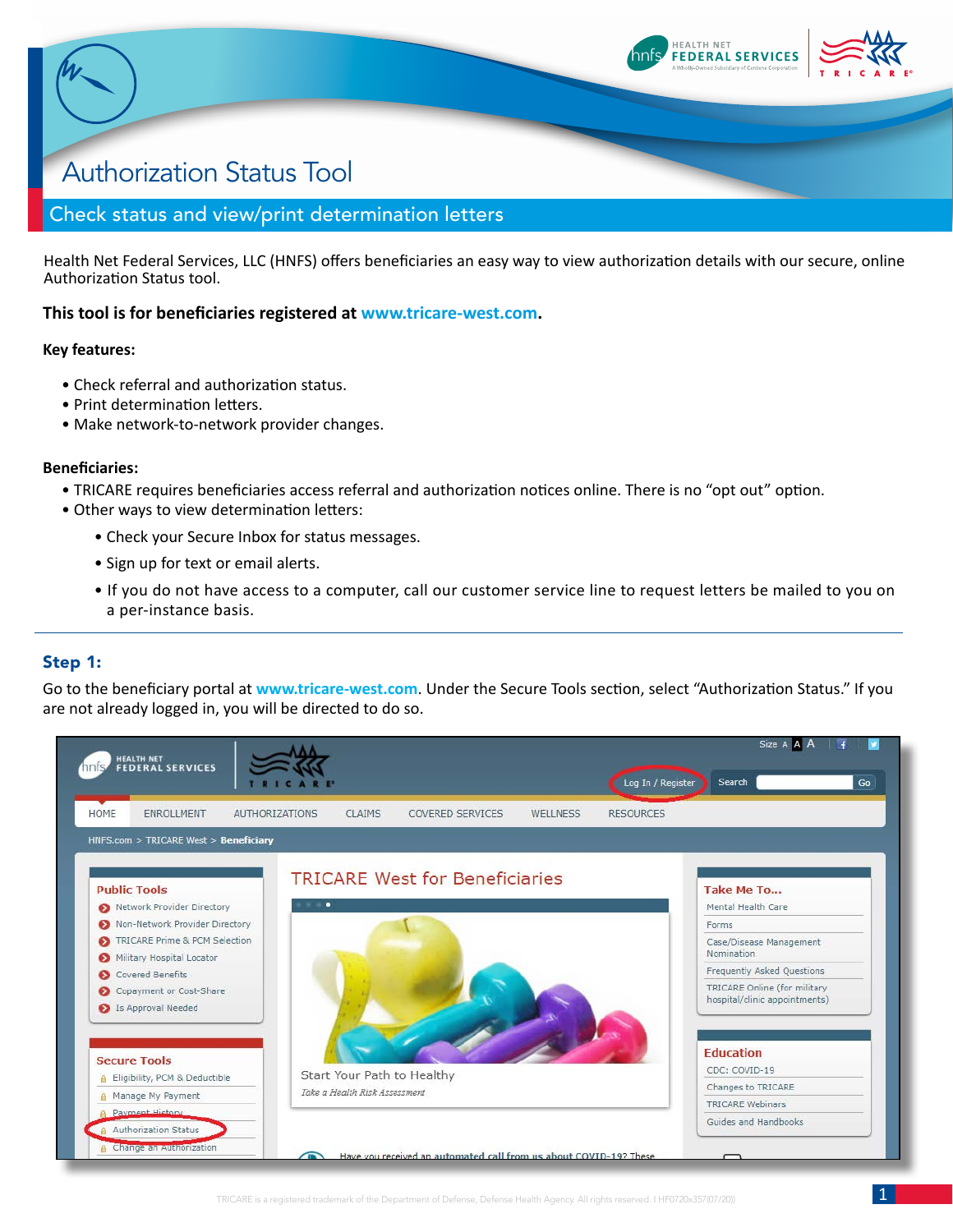

# Authorization Status Tool

# Check status and view/print determination letters

Health Net Federal Services, LLC (HNFS) offers beneficiaries an easy way to view authorization details with our secure, online Authorization Status tool.

## **This tool is for beneficiaries registered at [www.tricare-west.com](http://www.tricare-west.com).**

### **Key features:**

 $\boldsymbol{\mathsf{w}}$ 

- Check referral and authorization status.
- Print determination letters.
- Make network-to-network provider changes.

#### **Beneficiaries:**

- TRICARE requires beneficiaries access referral and authorization notices online. There is no "opt out" option.
- Other ways to view determination letters:
	- Check your Secure Inbox for status messages.
	- Sign up for text or email alerts.
	- If you do not have access to a computer, call our customer service line to request letters be mailed to you on a per-instance basis.

## Step 1:

Go to the beneficiary portal at **[www.tricare-west.com](http://www.tricare-west.com)**. Under the Secure Tools section, select "Authorization Status." If you are not already logged in, you will be directed to do so.